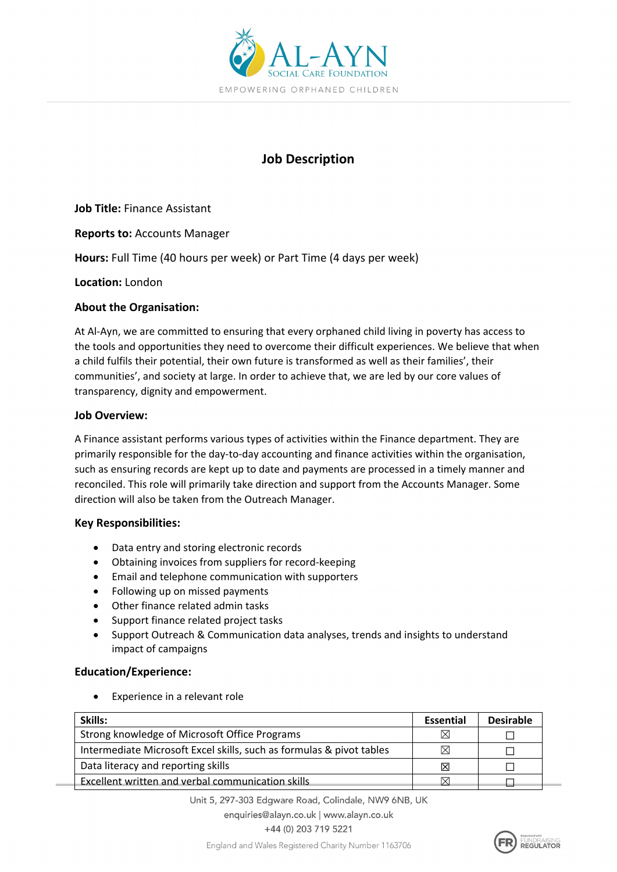

# **Job Description**

**Job Title:** Finance Assistant

**Reports to:** Accounts Manager

**Hours:** Full Time (40 hours per week) or Part Time (4 days per week)

**Location:** London

#### **About the Organisation:**

At Al-Ayn, we are committed to ensuring that every orphaned child living in poverty has access to the tools and opportunities they need to overcome their difficult experiences. We believe that when a child fulfils their potential, their own future is transformed as well as their families', their communities', and society at large. In order to achieve that, we are led by our core values of transparency, dignity and empowerment.

#### **Job Overview:**

A Finance assistant performs various types of activities within the Finance department. They are primarily responsible for the day-to-day accounting and finance activities within the organisation, such as ensuring records are kept up to date and payments are processed in a timely manner and reconciled. This role will primarily take direction and support from the Accounts Manager. Some direction will also be taken from the Outreach Manager.

## **Key Responsibilities:**

- Data entry and storing electronic records
- Obtaining invoices from suppliers for record-keeping
- Email and telephone communication with supporters
- Following up on missed payments
- Other finance related admin tasks
- Support finance related project tasks
- Support Outreach & Communication data analyses, trends and insights to understand impact of campaigns

## **Education/Experience:**

Experience in a relevant role

| Skills:                                                              | Essential | <b>Desirable</b> |
|----------------------------------------------------------------------|-----------|------------------|
| Strong knowledge of Microsoft Office Programs                        |           |                  |
| Intermediate Microsoft Excel skills, such as formulas & pivot tables |           |                  |
| Data literacy and reporting skills                                   | ΙX        |                  |
| Excellent written and verbal communication skills                    |           |                  |

Unit 5, 297-303 Edgware Road, Colindale, NW9 6NB, UK